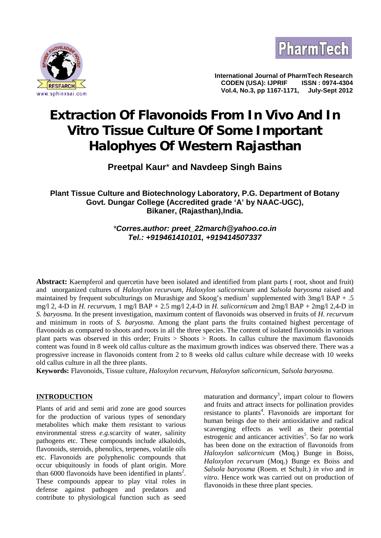



**International Journal of PharmTech Research CODEN (USA): IJPRIF ISSN : 0974-4304 Vol.4, No.3, pp 1167-1171,** 

# **Extraction Of Flavonoids From** *In Vivo* **And** *In Vitro* **Tissue Culture Of Some Important Halophyes Of Western Rajasthan**

# **Preetpal Kaur**\* **and Navdeep Singh Bains**

## **Plant Tissue Culture and Biotechnology Laboratory, P.G. Department of Botany Govt. Dungar College (Accredited grade 'A' by NAAC-UGC), Bikaner, (Rajasthan),India.**

## *\*Corres.author: preet\_22march@yahoo.co.in Tel.: +919461410101, +919414507337*

**Abstract:** Kaempferol and quercetin have been isolated and identified from plant parts ( root, shoot and fruit) and unorganized cultures of *Haloxylon recurvum*, *Haloxylon salicornicum* and *Salsola baryosma* raised and maintained by frequent subculturings on Murashige and Skoog's medium<sup>1</sup> supplemented with 3mg/l BAP + .5 mg/l 2, 4-D in *H. recurvum*, 1 mg/l BAP + 2.5 mg/l 2,4-D in *H. salicornicum* and 2mg/l BAP + 2mg/l 2,4-D in *S. baryosma*. In the present investigation, maximum content of flavonoids was observed in fruits of *H. recurvum* and minimum in roots of *S. baryosma*. Among the plant parts the fruits contained highest percentage of flavonoids as compared to shoots and roots in all the three species. The content of isolated flavonoids in various plant parts was observed in this order; Fruits > Shoots > Roots. In callus culture the maximum flavonoids content was found in 8 week old callus culture as the maximum growth indices was observed there. There was a progressive increase in flavonoids content from 2 to 8 weeks old callus culture while decrease with 10 weeks old callus culture in all the three plants.

**Keywords:** Flavonoids, Tissue culture, *Haloxylon recurvum*, *Haloxylon salicornicum*, *Salsola baryosma.*

## **INTRODUCTION**

Plants of arid and semi arid zone are good sources for the production of various types of senondary metabolites which make them resistant to various environmental stress *e.g.*scarcity of water, salinity pathogens etc. These compounds include alkaloids, flavonoids, steroids, phenolics, terpenes, volatile oils etc. Flavonoids are polyphenolic compounds that occur ubiquitously in foods of plant origin. More than  $6000$  flavonoids have been identified in plants<sup>2</sup>. These compounds appear to play vital roles in defense against pathogen and predators and contribute to physiological function such as seed

maturation and dormancy<sup>3</sup>, impart colour to flowers and fruits and attract insects for pollination provides resistance to plants<sup>4</sup>. Flavonoids are important for human beings due to their antioxidative and radical scavenging effects as well as their potential estrogenic and anticancer activities<sup>5</sup>. So far no work has been done on the extraction of flavonoids from *Haloxylon salicornicum* (Moq.) Bunge in Boiss, *Haloxylon recurvum* (Moq.) Bunge ex Boiss and *Salsola baryosma* (Roem. et Schult.) *in vivo* and *in vitro*. Hence work was carried out on production of flavonoids in these three plant species.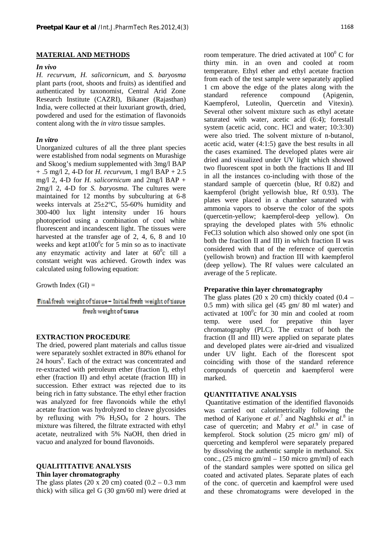## **MATERIAL AND METHODS**

## *In vivo*

*H. recurvum, H. salicornicum*, and *S. baryosma* plant parts (root, shoots and fruits) as identified and authenticated by taxonomist, Central Arid Zone Research Institute (CAZRI), Bikaner (Rajasthan) India, were collected at their luxuriant growth, dried, powdered and used for the estimation of flavonoids content along with the *in vitro* tissue samples.

## *In vitro*

Unorganized cultures of all the three plant species were established from nodal segments on Murashige and Skoog's medium supplemented with 3mg/l BAP + .5 mg/l 2, 4-D for *H. recurvum,* 1 mg/l BAP + 2.5 mg/l 2, 4-D for *H. salicornicum* and 2mg/l BAP + 2mg/l 2, 4-D for *S. baryosma*. The cultures were maintained for 12 months by subculturing at 6-8 weeks intervals at 25±2°C, 55-60% humidity and 300-400 lux light intensity under 16 hours photoperiod using a combination of cool white fluorescent and incandescent light. The tissues were harvested at the transfer age of 2, 4, 6, 8 and 10 weeks and kept at  $100^{\circ}$ c for 5 min so as to inactivate any enzymatic activity and later at  $60^{\circ}$ c till a constant weight was achieved. Growth index was calculated using following equation:

Growth Index  $(GI)$  =

## Final fresh weight of tissue- Initial fresh weight of tissue fresh weight of tissue

## **EXTRACTION PROCEDURE**

The dried, powered plant materials and callus tissue were separately soxhlet extracted in 80% ethanol for 24 hours<sup>6</sup>. Each of the extract was concentrated and coi re-extracted with petroleum ether (fraction I), ethyl ether (fraction II) and ethyl acetate (fraction III) in succession. Ether extract was rejected due to its being rich in fatty substance. The ethyl ether fraction was analyzed for free flavonoids while the ethyl acetate fraction was hydrolyzed to cleave glycosides by refluxing with  $7\%$  H<sub>2</sub>SO<sub>4</sub> for 2 hours. The mixture was filtered, the filtrate extracted with ethyl acetate, neutralized with 5% NaOH, then dried in vacuo and analyzed for bound flavonoids.

## **QUALITITATIVE ANALYSIS**

#### **Thin layer chromatography**

The glass plates (20 x 20 cm) coated  $(0.2 - 0.3$  mm thick) with silica gel G (30 gm/60 ml) were dried at

room temperature. The dried activated at  $100^{\circ}$  C for thirty min. in an oven and cooled at room temperature. Ethyl ether and ethyl acetate fraction from each of the test sample were separately applied 1 cm above the edge of the plates along with the reference compound (Apigenin, Kaempferol, Luteolin, Quercetin and Vitexin). Several other solvent mixture such as ethyl acetate saturated with water, acetic acid (6:4); forestall system (acetic acid, conc. HCl and water; 10:3:30) were also tried. The solvent mixture of n-butanol, acetic acid, water (4:1:5) gave the best results in all the cases examined. The developed plates were air dried and visualized under UV light which showed two fluorescent spot in both the fractions II and III in all the instances co-including with those of the standard sample of quercetin (blue, Rf 0.82) and kaempferol (bright yellowish blue, Rf 0.93). The plates were placed in a chamber saturated with ammonia vapors to observe the color of the spots (quercetin-yellow; kaempferol-deep yellow). On spraying the developed plates with 5% ethnolic FeCl3 solution which also showed only one spot (in both the fraction II and III) in which fraction II was considered with that of the reference of quercetin (yellowish brown) and fraction III with kaempferol (deep yellow). The Rf values were calculated an average of the 5 replicate.

## **Preparative thin layer chromatography**

The glass plates (20 x 20 cm) thickly coated  $(0.4 -$ 0.5 mm) with silica gel (45 gm/ 80 ml water) and activated at  $100^{\circ}$ c for 30 min and cooled at room temp. were used for prepative thin layer chromatography (PLC). The extract of both the fraction (II and III) were applied on separate plates and developed plates were air-dried and visualized under UV light. Each of the florescent spot coinciding with those of the standard reference compounds of quercetin and kaempferol were marked.

## **QUANTITATIVE ANALYSIS**

Quantitative estimation of the identified flavonoids was carried out calorimetrically following the method of Kariyone *et al.*<sup>7</sup> and Naghhski *et al.*<sup>8</sup> in case of quercetin; and Mabry *et al.*<sup>9</sup> in case of kempferol. Stock solution (25 micro gm/ ml) of querceting and kempferol were separately prepared by dissolving the authentic sample in methanol. Six conc., (25 micro gm/ml – 150 micro gm/ml) of each of the standard samples were spotted on silica gel coated and activated plates. Separate plates of each of the conc. of quercetin and kaempfrol were used and these chromatograms were developed in the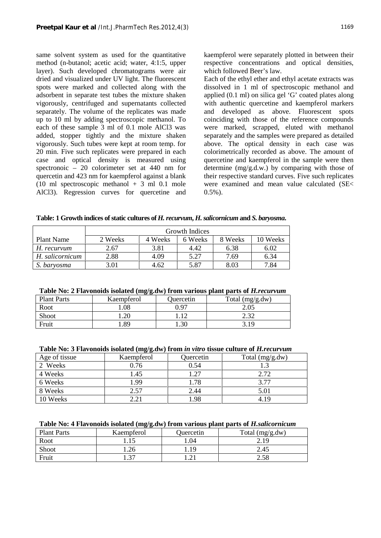same solvent system as used for the quantitative method (n-butanol; acetic acid; water, 4:1:5, upper layer). Such developed chromatograms were air dried and visualized under UV light. The fluorescent spots were marked and collected along with the adsorbent in separate test tubes the mixture shaken vigorously, centrifuged and supernatants collected separately. The volume of the replicates was made up to 10 ml by adding spectroscopic methanol. To each of these sample 3 ml of 0.1 mole AlCl3 was added, stopper tightly and the mixture shaken vigorously. Such tubes were kept at room temp. for 20 min. Five such replicates were prepared in each case and optical density is measured using spectronoic – 20 colorimeter set at 440 nm for quercetin and 423 nm for kaempferol against a blank (10 ml spectroscopic methanol  $+$  3 ml 0.1 mole AlCl3). Regression curves for quercetine and kaempferol were separately plotted in between their respective concentrations and optical densities, which followed Beer's law.

Each of the ethyl ether and ethyl acetate extracts was dissolved in 1 ml of spectroscopic methanol and applied (0.1 ml) on silica gel 'G' coated plates along with authentic quercetine and kaempferol markers and developed as above. Fluorescent spots coinciding with those of the reference compounds were marked, scrapped, eluted with methanol separately and the samples were prepared as detailed above. The optical density in each case was colorimetrically recorded as above. The amount of quercetine and kaempferol in the sample were then determine (mg/g.d.w.) by comparing with those of their respective standard curves. Five such replicates were examined and mean value calculated (SE<  $0.5\%$ ).

|                 | Growth Indices |         |         |         |          |
|-----------------|----------------|---------|---------|---------|----------|
| Plant Name      | 2 Weeks        | 4 Weeks | 6 Weeks | 8 Weeks | 10 Weeks |
| H. recurvum     | 2.67           | 3.81    | 4.42    | 6.38    | 6.02     |
| H. salicornicum | 2.88           | 4.09    | 5.27    | 7.69    | 6.34     |
| S. baryosma     | 3.01           | 4.62    | 5.87    | 8.03    | 7.84     |

## **Table No: 2 Flavonoids isolated (mg/g.dw) from various plant parts of** *H.recurvum*

| <b>Plant Parts</b> | Kaempferol | Quercetin | Total (mg/g.dw) |
|--------------------|------------|-----------|-----------------|
| Root               | .08        | በ 97      | 2.05            |
| Shoot              | .20        |           | C C C           |
| Fruit              | .89        | . .30     | 3.19            |

#### **Table No: 3 Flavonoids isolated (mg/g.dw) from** *in vitro* **tissue culture of** *H.recurvum*

| Age of tissue | Kaempferol | Quercetin | Total $(mg/g.dw)$ |
|---------------|------------|-----------|-------------------|
| 2 Weeks       | 0.76       | 0.54      |                   |
| 4 Weeks       | 1.45       | 1.27      | 2.72              |
| 6 Weeks       | 1.99       | 1.78      | 3.77              |
| 8 Weeks       | 2.57       | 2.44      | 5.01              |
| 10 Weeks      | 2.21       | 1.98      | 4.19              |

## **Table No: 4 Flavonoids isolated (mg/g.dw) from various plant parts of** *H.salicornicum*

| <b>Plant Parts</b> | Kaempferol | Quercetin | Total (mg/g.dw) |
|--------------------|------------|-----------|-----------------|
| Root               |            | . 04      | 2.19            |
| Shoot              | 1.26       | 19        | 2.45            |
| Fruit              | 27         |           | 2.58            |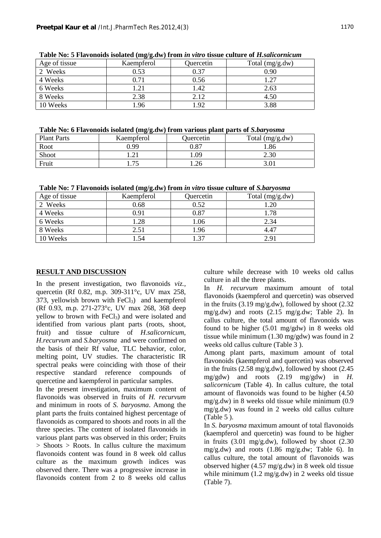| Age of tissue | Kaempferol | Quercetin | Total (mg/g.dw) |
|---------------|------------|-----------|-----------------|
| 2 Weeks       | 0.53       | 0.37      | 0.90            |
| 4 Weeks       | 0.71       | 0.56      | 1.27            |
| 6 Weeks       | 1.21       | 1.42      | 2.63            |
| 8 Weeks       | 2.38       | 2.12      | 4.50            |
| 10 Weeks      | 1.96       | .92       | 3.88            |

**Table No: 5 Flavonoids isolated (mg/g.dw) from** *in vitro* **tissue culture of** *H.salicornicum*

## **Table No: 6 Flavonoids isolated (mg/g.dw) from various plant parts of** *S.baryosma*

| <b>Plant Parts</b> | Kaempferol | Quercetin  | Total (mg/g.dw) |
|--------------------|------------|------------|-----------------|
| Root               | 9.99       | $\rm 0.87$ | . 86            |
| Shoot              | .          | . 09       | 2.30            |
| Fruit              | 75         | 1.26       | 3.01            |

**Table No: 7 Flavonoids isolated (mg/g.dw) from** *in vitro* **tissue culture of** *S.baryosma*

| Age of tissue | Kaempferol | Quercetin        | Total (mg/g.dw) |
|---------------|------------|------------------|-----------------|
| 2 Weeks       | 0.68       | 0.52             | 1.20            |
| 4 Weeks       | 0.91       | 0.87             | 1.78            |
| 6 Weeks       | 1.28       | 1.06             | 2.34            |
| 8 Weeks       | 2.51       | 1.96             | 4.47            |
| 10 Weeks      | .54        | $\overline{.}37$ | 2.91            |

## **RESULT AND DISCUSSION**

In the present investigation, two flavonoids *viz.,* quercetin (Rf 0.82, m.p. 309-311°c, UV max 258, 373, yellowish brown with  $FeCl<sub>3</sub>$ ) and kaempferol (Rf 0.93, m.p. 271-273°c, UV max 268, 368 deep yellow to brown with  $FeCl<sub>3</sub>$  and were isolated and identified from various plant parts (roots, shoot, fruit) and tissue culture of *H.salicornicum, H.recurvum* and *S.baryosma* and were confirmed on the basis of their Rf value, TLC behavior, color, melting point, UV studies. The characteristic IR spectral peaks were coinciding with those of their respective standard reference compounds of quercetine and kaempferol in particular samples.

In the present investigation, maximum content of flavonoids was observed in fruits of *H. recurvum* and minimum in roots of *S. baryosma*. Among the plant parts the fruits contained highest percentage of flavonoids as compared to shoots and roots in all the three species. The content of isolated flavonoids in various plant parts was observed in this order; Fruits  $>$  Shoots  $>$  Roots. In callus culture the maximum flavonoids content was found in 8 week old callus culture as the maximum growth indices was observed there. There was a progressive increase in flavonoids content from 2 to 8 weeks old callus

culture while decrease with 10 weeks old callus culture in all the three plants.

In *H. recurvum* maximum amount of total flavonoids (kaempferol and quercetin) was observed in the fruits  $(3.19 \text{ mg/g.} \text{dw})$ , followed by shoot  $(2.32 \text{ g})$ mg/g.dw) and roots (2.15 mg/g.dw; Table 2). In callus culture, the total amount of flavonoids was found to be higher (5.01 mg/gdw) in 8 weeks old tissue while minimum (1.30 mg/gdw) was found in 2 weeks old callus culture (Table 3 ).

Among plant parts, maximum amount of total flavonoids (kaempferol and quercetin) was observed in the fruits (2.58 mg/g.dw), followed by shoot (2.45 mg/gdw) and roots (2.19 mg/gdw) in *H. salicornicum* (Table 4). In callus culture, the total amount of flavonoids was found to be higher (4.50 mg/g.dw) in 8 weeks old tissue while minimum (0.9 mg/g.dw) was found in 2 weeks old callus culture (Table 5 ).

In *S. baryosma* maximum amount of total flavonoids (kaempferol and quercetin) was found to be higher in fruits  $(3.01 \text{ mg/g.dw})$ , followed by shoot  $(2.30 \text{ m})$ mg/g.dw) and roots (1.86 mg/g.dw; Table 6). In callus culture, the total amount of flavonoids was observed higher (4.57 mg/g.dw) in 8 week old tissue while minimum (1.2 mg/g.dw) in 2 weeks old tissue (Table 7).